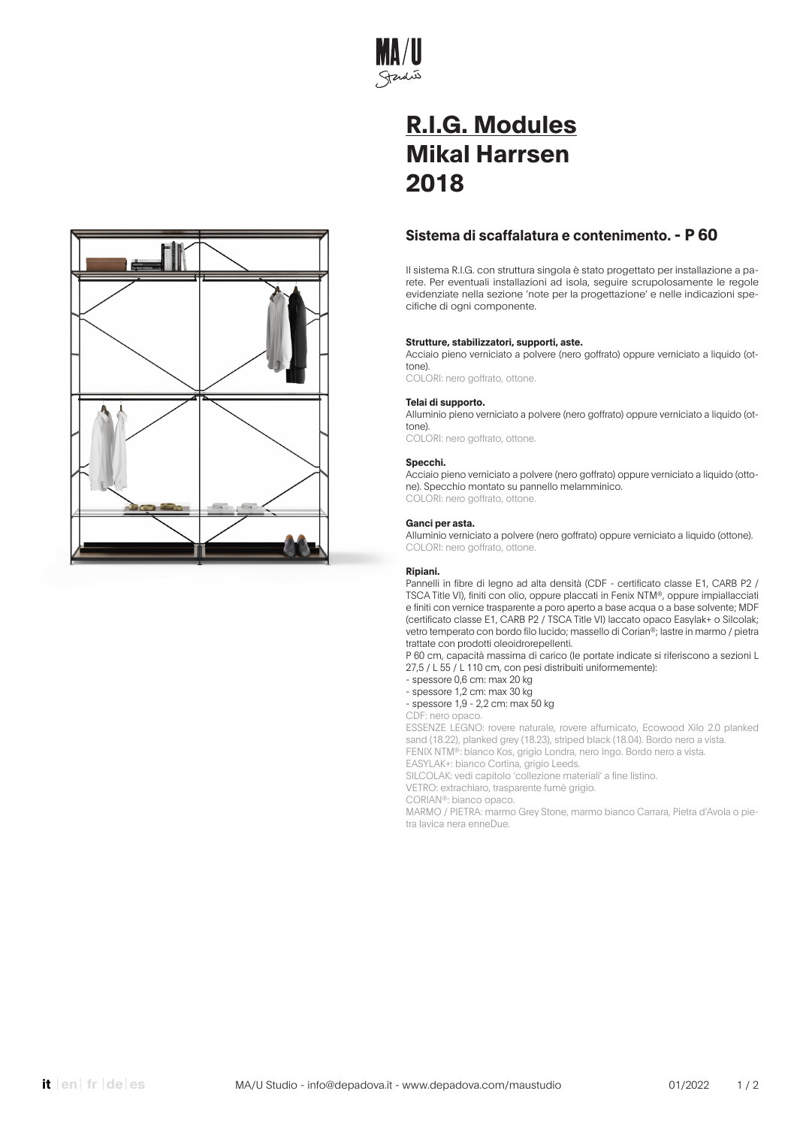

# **Sistema di scaffalatura e contenimento. - P 60**

Il sistema R.I.G. con struttura singola è stato progettato per installazione a parete. Per eventuali installazioni ad isola, seguire scrupolosamente le regole evidenziate nella sezione 'note per la progettazione' e nelle indicazioni specifiche di ogni componente.

# **Strutture, stabilizzatori, supporti, aste.**

Acciaio pieno verniciato a polvere (nero goffrato) oppure verniciato a liquido (ottone).

COLORI: nero goffrato, ottone.

# **Telai di supporto.**

Alluminio pieno verniciato a polvere (nero goffrato) oppure verniciato a liquido (ottone).

COLORI: nero goffrato, ottone.

# **Specchi.**

Acciaio pieno verniciato a polvere (nero goffrato) oppure verniciato a liquido (ottone). Specchio montato su pannello melamminico. COLORI: nero goffrato, ottone.

# **Ganci per asta.**

Alluminio verniciato a polvere (nero goffrato) oppure verniciato a liquido (ottone). COLORI: nero goffrato, ottone.

### **Ripiani.**

Pannelli in fibre di legno ad alta densità (CDF - certificato classe E1, CARB P2 / TSCA Title VI), finiti con olio, oppure placcati in Fenix NTM®, oppure impiallacciati e finiti con vernice trasparente a poro aperto a base acqua o a base solvente; MDF (certificato classe E1, CARB P2 / TSCA Title VI) laccato opaco Easylak+ o Silcolak; vetro temperato con bordo filo lucido; massello di Corian®; lastre in marmo / pietra trattate con prodotti oleoidrorepellenti.

P 60 cm, capacità massima di carico (le portate indicate si riferiscono a sezioni L 27,5 / L 55 / L 110 cm, con pesi distribuiti uniformemente):

- spessore 0,6 cm: max 20 kg
- spessore 1,2 cm: max 30 kg

- spessore 1,9 - 2,2 cm: max 50 kg

CDF: nero opaco.

ESSENZE LEGNO: rovere naturale, rovere affumicato, Ecowood Xilo 2.0 planked sand (18.22), planked grey (18.23), striped black (18.04). Bordo nero a vista. FENIX NTM®: bianco Kos, grigio Londra, nero Ingo. Bordo nero a vista.

EASYLAK+: bianco Cortina, grigio Leeds.

SILCOLAK: vedi capitolo 'collezione materiali' a fine listino.

VETRO: extrachiaro, trasparente fumè grigio. CORIAN®: bianco opaco.

MARMO / PIETRA: marmo Grey Stone, marmo bianco Carrara, Pietra d'Avola o pietra lavica nera enneDue.

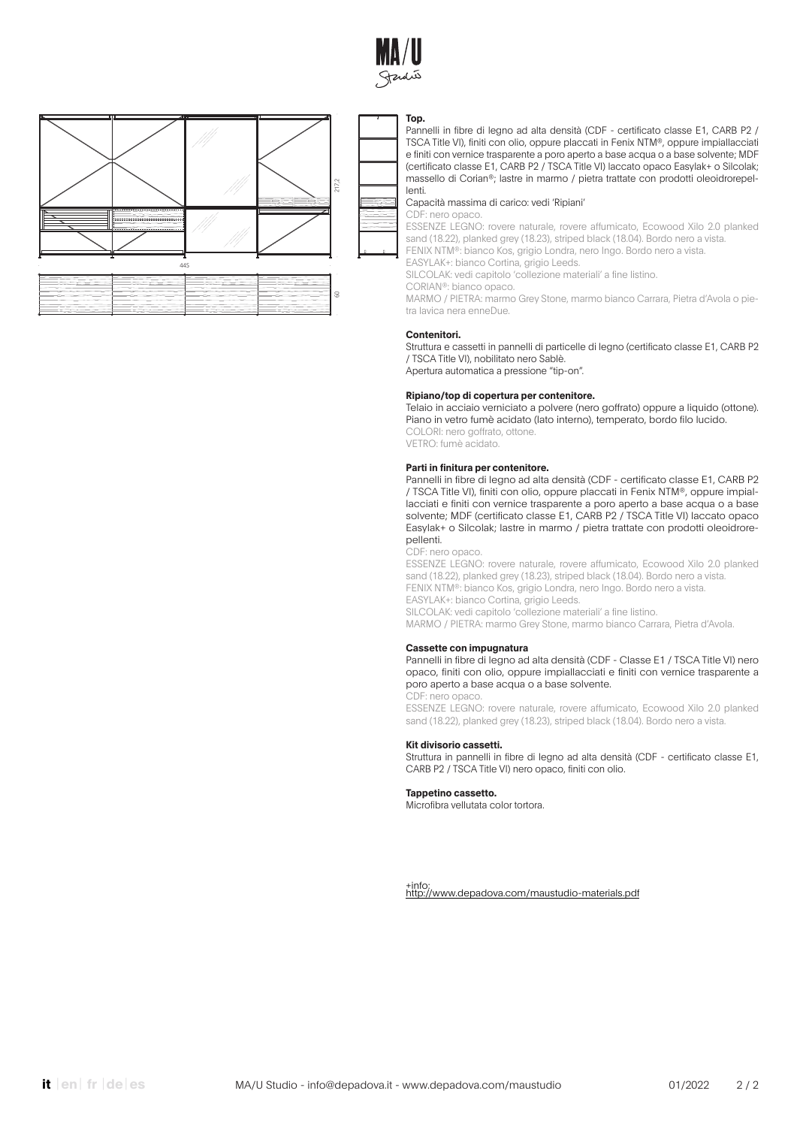



#### **Top.**

Pannelli in fibre di legno ad alta densità (CDF - certificato classe E1, CARB P2 / TSCA Title VI), finiti con olio, oppure placcati in Fenix NTM®, oppure impiallacciati e finiti con vernice trasparente a poro aperto a base acqua o a base solvente; MDF (certificato classe E1, CARB P2 / TSCA Title VI) laccato opaco Easylak+ o Silcolak; massello di Corian®; lastre in marmo / pietra trattate con prodotti oleoidrorepellenti.

### Capacità massima di carico: vedi 'Ripiani'

CDF: nero opaco.

ESSENZE LEGNO: rovere naturale, rovere affumicato, Ecowood Xilo 2.0 planked sand (18.22), planked grey (18.23), striped black (18.04). Bordo nero a vista. FENIX NTM®: bianco Kos, grigio Londra, nero Ingo. Bordo nero a vista.

EASYLAK+: bianco Cortina, grigio Leeds.

SILCOLAK: vedi capitolo 'collezione materiali' a fine listino.

CORIAN®: bianco opaco.

MARMO / PIETRA: marmo Grey Stone, marmo bianco Carrara, Pietra d'Avola o pietra lavica nera enneDue.

### **Contenitori.**

Struttura e cassetti in pannelli di particelle di legno (certificato classe E1, CARB P2 / TSCA Title VI), nobilitato nero Sablè.

Apertura automatica a pressione "tip-on".

# **Ripiano/top di copertura per contenitore.**

Telaio in acciaio verniciato a polvere (nero goffrato) oppure a liquido (ottone). Piano in vetro fumè acidato (lato interno), temperato, bordo filo lucido. COLORI: nero goffrato, ottone.

VETRO: fumè acidato.

#### **Parti in finitura per contenitore.**

Pannelli in fibre di legno ad alta densità (CDF - certificato classe E1, CARB P2 / TSCA Title VI), finiti con olio, oppure placcati in Fenix NTM®, oppure impiallacciati e finiti con vernice trasparente a poro aperto a base acqua o a base solvente; MDF (certificato classe E1, CARB P2 / TSCA Title VI) laccato opaco Easylak+ o Silcolak; lastre in marmo / pietra trattate con prodotti oleoidrorepellenti.

#### CDF: nero opaco.

ESSENZE LEGNO: rovere naturale, rovere affumicato, Ecowood Xilo 2.0 planked sand (18.22), planked grey (18.23), striped black (18.04). Bordo nero a vista. FENIX NTM®: bianco Kos, grigio Londra, nero Ingo. Bordo nero a vista. EASYLAK+: bianco Cortina, grigio Leeds. SILCOLAK: vedi capitolo 'collezione materiali' a fine listino.

MARMO / PIETRA: marmo Grey Stone, marmo bianco Carrara, Pietra d'Avola.

### **Cassette con impugnatura**

Pannelli in fibre di legno ad alta densità (CDF - Classe E1 / TSCA Title VI) nero opaco, finiti con olio, oppure impiallacciati e finiti con vernice trasparente a poro aperto a base acqua o a base solvente. CDF: nero opaco.

ESSENZE LEGNO: rovere naturale, rovere affumicato, Ecowood Xilo 2.0 planked sand (18.22), planked grey (18.23), striped black (18.04). Bordo nero a vista.

#### **Kit divisorio cassetti.**

Struttura in pannelli in fibre di legno ad alta densità (CDF - certificato classe E1, CARB P2 / TSCA Title VI) nero opaco, finiti con olio.

#### **Tappetino cassetto.**

Microfibra vellutata color tortora.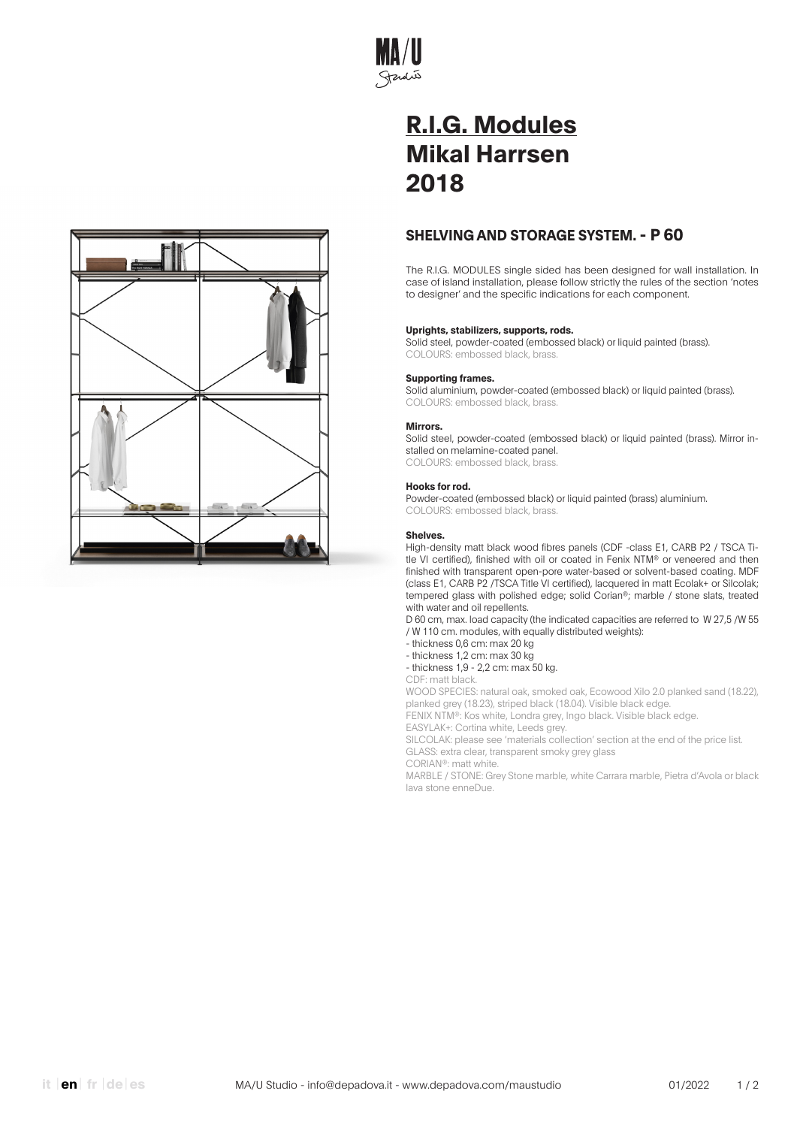

# **SHELVING AND STORAGE SYSTEM. - P 60**

The R.I.G. MODULES single sided has been designed for wall installation. In case of island installation, please follow strictly the rules of the section 'notes to designer' and the specific indications for each component.

# **Uprights, stabilizers, supports, rods.**

Solid steel, powder-coated (embossed black) or liquid painted (brass). COLOURS: embossed black, brass.

# **Supporting frames.**

Solid aluminium, powder-coated (embossed black) or liquid painted (brass). COLOURS: embossed black, brass.

### **Mirrors.**

Solid steel, powder-coated (embossed black) or liquid painted (brass). Mirror installed on melamine-coated panel. COLOURS: embossed black, brass.

### **Hooks for rod.**

Powder-coated (embossed black) or liquid painted (brass) aluminium. COLOURS: embossed black, brass.

#### **Shelves.**

High-density matt black wood fibres panels (CDF -class E1, CARB P2 / TSCA Title VI certified), finished with oil or coated in Fenix NTM® or veneered and then finished with transparent open-pore water-based or solvent-based coating. MDF (class E1, CARB P2 /TSCA Title VI certified), lacquered in matt Ecolak+ or Silcolak; tempered glass with polished edge; solid Corian®; marble / stone slats, treated with water and oil repellents.

D 60 cm, max. load capacity (the indicated capacities are referred to W 27,5 /W 55 / W 110 cm. modules, with equally distributed weights):

- thickness 0,6 cm: max 20 kg
- thickness 1,2 cm: max 30 kg
- thickness 1,9 2,2 cm: max 50 kg.

CDF: matt black.

WOOD SPECIES: natural oak, smoked oak, Ecowood Xilo 2.0 planked sand (18.22), planked grey (18.23), striped black (18.04). Visible black edge.

FENIX NTM®: Kos white, Londra grey, Ingo black. Visible black edge.

EASYLAK+: Cortina white, Leeds grey.

SILCOLAK: please see 'materials collection' section at the end of the price list. GLASS: extra clear, transparent smoky grey glass

CORIAN®: matt white.

MARBLE / STONE: Grey Stone marble, white Carrara marble, Pietra d'Avola or black lava stone enneDue.

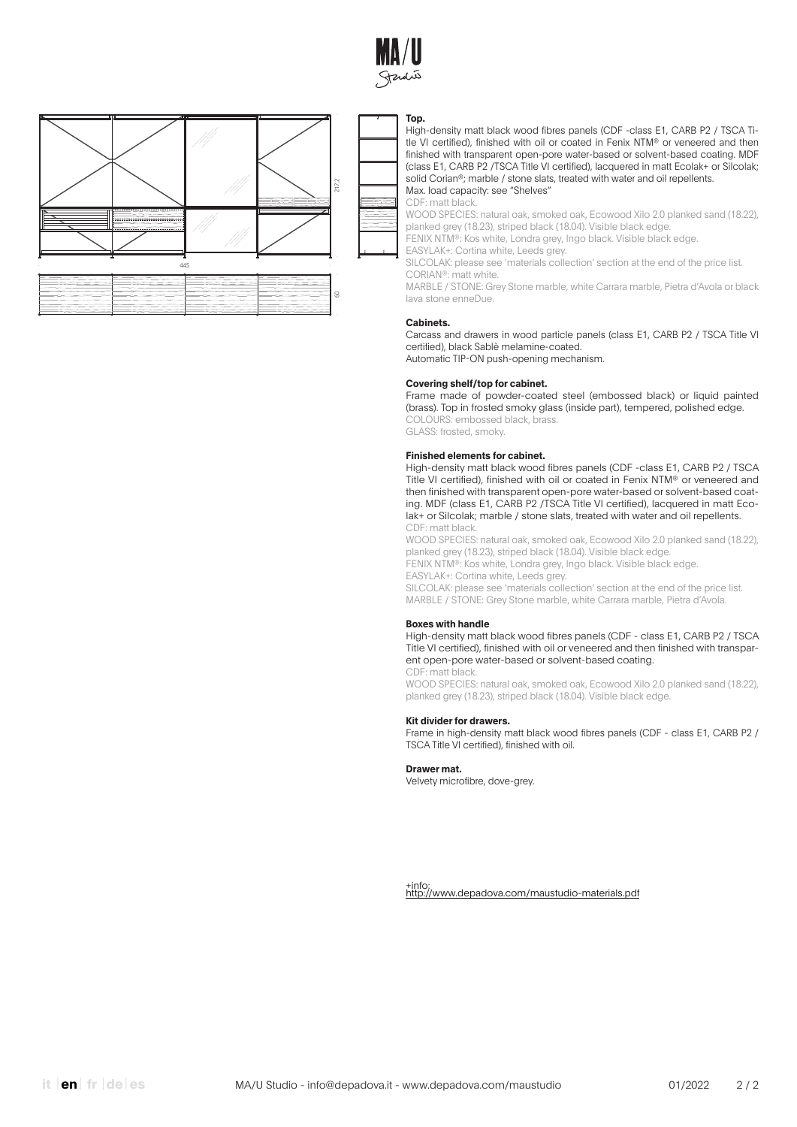



#### **Top.**

High-density matt black wood fibres panels (CDF -class E1, CARB P2 / TSCA Title VI certified), finished with oil or coated in Fenix NTM® or veneered and then finished with transparent open-pore water-based or solvent-based coating. MDF (class E1, CARB P2 /TSCA Title VI certified), lacquered in matt Ecolak+ or Silcolak; solid Corian®; marble / stone slats, treated with water and oil repellents. Max. load capacity: see "Shelves"

CDF: matt black.

WOOD SPECIES: natural oak, smoked oak, Ecowood Xilo 2.0 planked sand (18.22), planked grey (18.23), striped black (18.04). Visible black edge.

FENIX NTM®: Kos white, Londra grey, Ingo black. Visible black edge.

EASYLAK+: Cortina white, Leeds grey.

SILCOLAK: please see 'materials collection' section at the end of the price list. CORIAN®: matt white.

MARBLE / STONE: Grey Stone marble, white Carrara marble, Pietra d'Avola or black lava stone enneDue.

#### **Cabinets.**

Carcass and drawers in wood particle panels (class E1, CARB P2 / TSCA Title VI certified), black Sablè melamine-coated. Automatic TIP-ON push-opening mechanism.

#### **Covering shelf/top for cabinet.**

Frame made of powder-coated steel (embossed black) or liquid painted (brass). Top in frosted smoky glass (inside part), tempered, polished edge. COLOURS: embossed black, brass. GLASS: frosted, smoky.

#### **Finished elements for cabinet.**

High-density matt black wood fibres panels (CDF -class E1, CARB P2 / TSCA Title VI certified), finished with oil or coated in Fenix NTM® or veneered and then finished with transparent open-pore water-based or solvent-based coating. MDF (class E1, CARB P2 /TSCA Title VI certified), lacquered in matt Ecolak+ or Silcolak; marble / stone slats, treated with water and oil repellents. CDF: matt black.

WOOD SPECIES: natural oak, smoked oak, Ecowood Xilo 2.0 planked sand (18.22), planked grey (18.23), striped black (18.04). Visible black edge. FENIX NTM®: Kos white, Londra grey, Ingo black. Visible black edge. EASYLAK+: Cortina white, Leeds grey. SILCOLAK: please see 'materials collection' section at the end of the price list. MARBLE / STONE: Grey Stone marble, white Carrara marble, Pietra d'Avola.

#### **Boxes with handle**

High-density matt black wood fibres panels (CDF - class E1, CARB P2 / TSCA Title VI certified), finished with oil or veneered and then finished with transparent open-pore water-based or solvent-based coating. CDF: matt black.

WOOD SPECIES: natural oak, smoked oak, Ecowood Xilo 2.0 planked sand (18.22), planked grey (18.23), striped black (18.04). Visible black edge.

#### **Kit divider for drawers.**

Frame in high-density matt black wood fibres panels (CDF - class E1, CARB P2 / TSCA Title VI certified), finished with oil.

**Drawer mat.**

Velvety microfibre, dove-grey.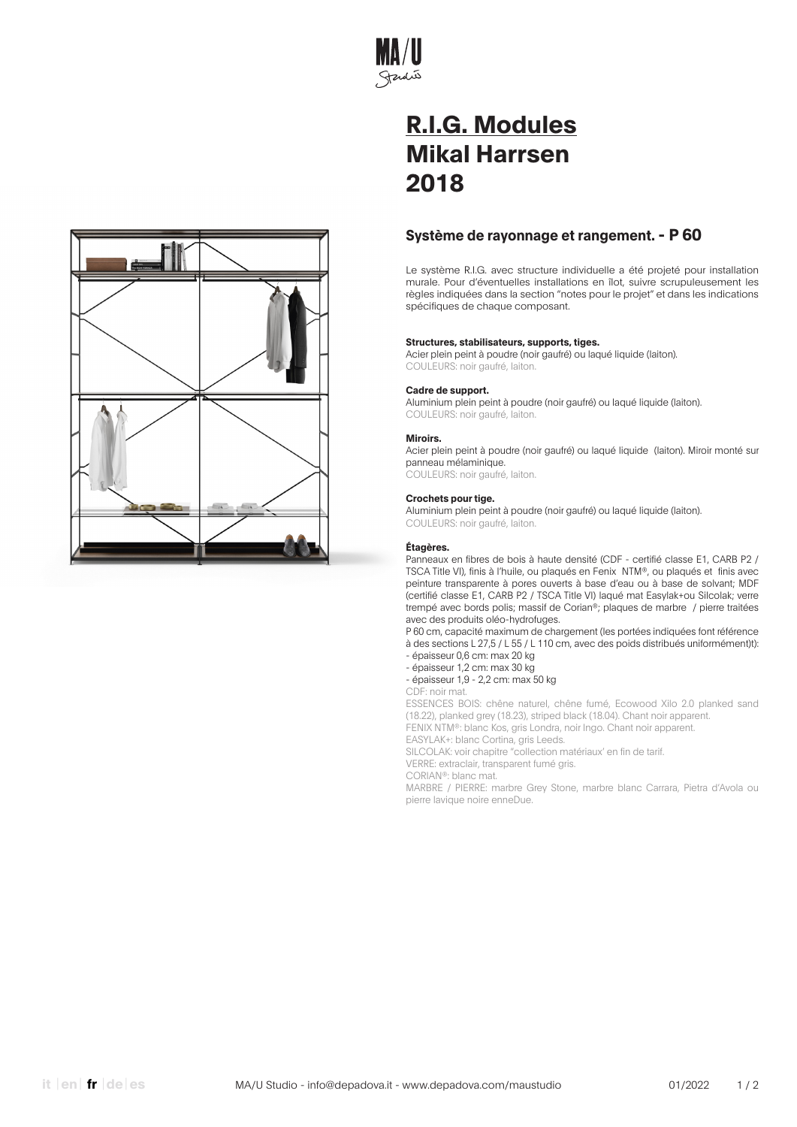

# **Système de rayonnage et rangement. - P 60**

Le système R.I.G. avec structure individuelle a été projeté pour installation murale. Pour d'éventuelles installations en îlot, suivre scrupuleusement les règles indiquées dans la section "notes pour le projet" et dans les indications spécifiques de chaque composant.

# **Structures, stabilisateurs, supports, tiges.**

Acier plein peint à poudre (noir gaufré) ou laqué liquide (laiton). COULEURS: noir gaufré, laiton.

# **Cadre de support.**

Aluminium plein peint à poudre (noir gaufré) ou laqué liquide (laiton). COULEURS: noir gaufré, laiton.

# **Miroirs.**

Acier plein peint à poudre (noir gaufré) ou laqué liquide (laiton). Miroir monté sur panneau mélaminique. COULEURS: noir gaufré, laiton.

# **Crochets pour tige.**

Aluminium plein peint à poudre (noir gaufré) ou laqué liquide (laiton). COULEURS: noir gaufré, laiton.

# **Étagères.**

Panneaux en fibres de bois à haute densité (CDF - certifié classe E1, CARB P2 / TSCA Title VI), finis à l'huile, ou plaqués en Fenix NTM®, ou plaqués et finis avec peinture transparente à pores ouverts à base d'eau ou à base de solvant; MDF (certifié classe E1, CARB P2 / TSCA Title VI) laqué mat Easylak+ou Silcolak; verre trempé avec bords polis; massif de Corian®; plaques de marbre / pierre traitées avec des produits oléo-hydrofuges.

P 60 cm, capacité maximum de chargement (les portées indiquées font référence à des sections L 27,5 / L 55 / L 110 cm, avec des poids distribués uniformément)t): - épaisseur 0,6 cm: max 20 kg

- épaisseur 1,2 cm: max 30 kg
- épaisseur 1,9 2,2 cm: max 50 kg
- CDF: noir mat.

ESSENCES BOIS: chêne naturel, chêne fumé, Ecowood Xilo 2.0 planked sand (18.22), planked grey (18.23), striped black (18.04). Chant noir apparent.

FENIX NTM®: blanc Kos, gris Londra, noir Ingo. Chant noir apparent.

EASYLAK+: blanc Cortina, gris Leeds.

SILCOLAK: voir chapitre "collection matériaux' en fin de tarif.

VERRE: extraclair, transparent fumé gris.

CORIAN®: blanc mat.

MARBRE / PIERRE: marbre Grey Stone, marbre blanc Carrara, Pietra d'Avola ou pierre lavique noire enneDue.

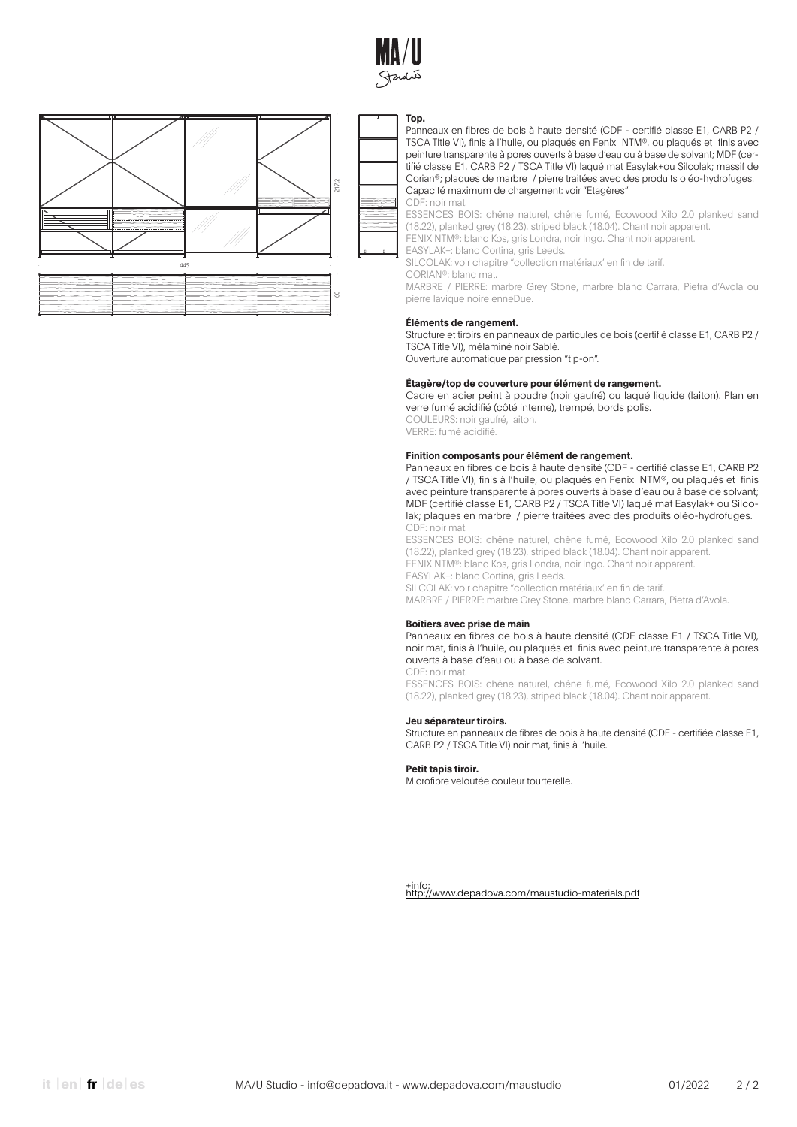



#### **Top.**

Panneaux en fibres de bois à haute densité (CDF - certifié classe E1, CARB P2 / TSCA Title VI), finis à l'huile, ou plaqués en Fenix NTM®, ou plaqués et finis avec peinture transparente à pores ouverts à base d'eau ou à base de solvant; MDF (certifié classe E1, CARB P2 / TSCA Title VI) laqué mat Easylak+ou Silcolak; massif de Corian®; plaques de marbre / pierre traitées avec des produits oléo-hydrofuges. Capacité maximum de chargement: voir "Etagères"

CDF: noir mat.

ESSENCES BOIS: chêne naturel, chêne fumé, Ecowood Xilo 2.0 planked sand (18.22), planked grey (18.23), striped black (18.04). Chant noir apparent.

FENIX NTM®: blanc Kos, gris Londra, noir Ingo. Chant noir apparent.

EASYLAK+: blanc Cortina, gris Leeds.

SILCOLAK: voir chapitre "collection matériaux' en fin de tarif. CORIAN®: blanc mat.

MARBRE / PIERRE: marbre Grey Stone, marbre blanc Carrara, Pietra d'Avola ou pierre lavique noire enneDue.

#### **Éléments de rangement.**

Structure et tiroirs en panneaux de particules de bois (certifié classe E1, CARB P2 / TSCA Title VI), mélaminé noir Sablè.

Ouverture automatique par pression "tip-on".

#### **Étagère/top de couverture pour élément de rangement.**

Cadre en acier peint à poudre (noir gaufré) ou laqué liquide (laiton). Plan en verre fumé acidifié (côté interne), trempé, bords polis. COULEURS: noir gaufré, laiton.

VERRE: fumé acidifié.

### **Finition composants pour élément de rangement.**

Panneaux en fibres de bois à haute densité (CDF - certifié classe E1, CARB P2 / TSCA Title VI), finis à l'huile, ou plaqués en Fenix NTM®, ou plaqués et finis avec peinture transparente à pores ouverts à base d'eau ou à base de solvant; MDF (certifié classe E1, CARB P2 / TSCA Title VI) laqué mat Easylak+ ou Silcolak; plaques en marbre / pierre traitées avec des produits oléo-hydrofuges. CDF: noir mat.

ESSENCES BOIS: chêne naturel, chêne fumé, Ecowood Xilo 2.0 planked sand (18.22), planked grey (18.23), striped black (18.04). Chant noir apparent. FENIX NTM®: blanc Kos, gris Londra, noir Ingo. Chant noir apparent. EASYLAK+: blanc Cortina, gris Leeds. SILCOLAK: voir chapitre "collection matériaux' en fin de tarif.

MARBRE / PIERRE: marbre Grey Stone, marbre blanc Carrara, Pietra d'Avola.

#### **Boîtiers avec prise de main**

Panneaux en fibres de bois à haute densité (CDF classe E1 / TSCA Title VI), noir mat, finis à l'huile, ou plaqués et finis avec peinture transparente à pores ouverts à base d'eau ou à base de solvant. CDF: noir mat.

ESSENCES BOIS: chêne naturel, chêne fumé, Ecowood Xilo 2.0 planked sand (18.22), planked grey (18.23), striped black (18.04). Chant noir apparent.

#### **Jeu séparateur tiroirs.**

Structure en panneaux de fibres de bois à haute densité (CDF - certifiée classe E1, CARB P2 / TSCA Title VI) noir mat, finis à l'huile.

### **Petit tapis tiroir.**

Microfibre veloutée couleur tourterelle.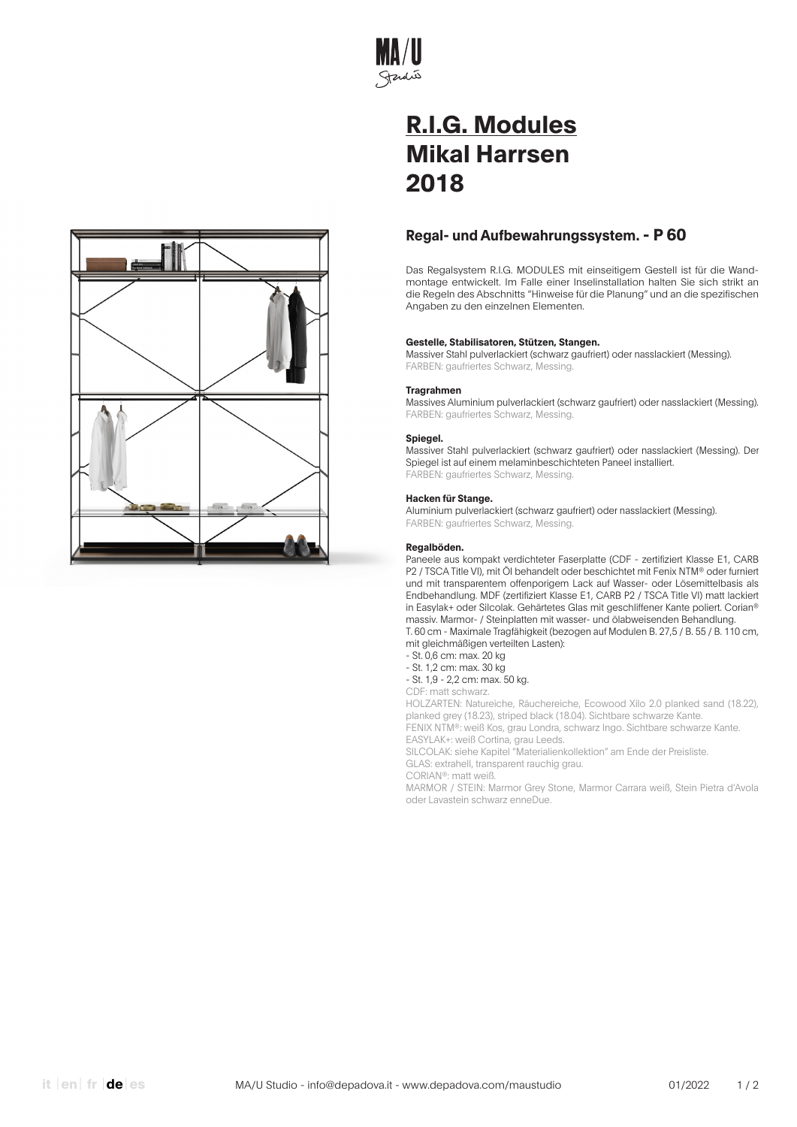

# **Regal- und Aufbewahrungssystem. - P 60**

Das Regalsystem R.I.G. MODULES mit einseitigem Gestell ist für die Wandmontage entwickelt. Im Falle einer Inselinstallation halten Sie sich strikt an die Regeln des Abschnitts "Hinweise für die Planung" und an die spezifischen Angaben zu den einzelnen Elementen.

# **Gestelle, Stabilisatoren, Stützen, Stangen.**

Massiver Stahl pulverlackiert (schwarz gaufriert) oder nasslackiert (Messing). FARBEN: gaufriertes Schwarz, Messing.

# **Tragrahmen**

Massives Aluminium pulverlackiert (schwarz gaufriert) oder nasslackiert (Messing). FARBEN: gaufriertes Schwarz, Messing.

# **Spiegel.**

Massiver Stahl pulverlackiert (schwarz gaufriert) oder nasslackiert (Messing). Der Spiegel ist auf einem melaminbeschichteten Paneel installiert. FARBEN: gaufriertes Schwarz, Messing.

# **Hacken für Stange.**

Aluminium pulverlackiert (schwarz gaufriert) oder nasslackiert (Messing). FARBEN: gaufriertes Schwarz, Messing.

# **Regalböden.**

Paneele aus kompakt verdichteter Faserplatte (CDF - zertifiziert Klasse E1, CARB P2 / TSCA Title VI), mit Öl behandelt oder beschichtet mit Fenix NTM® oder furniert und mit transparentem offenporigem Lack auf Wasser- oder Lösemittelbasis als Endbehandlung. MDF (zertifiziert Klasse E1, CARB P2 / TSCA Title VI) matt lackiert in Easylak+ oder Silcolak. Gehärtetes Glas mit geschliffener Kante poliert. Corian® massiv. Marmor- / Steinplatten mit wasser- und ölabweisenden Behandlung. T. 60 cm - Maximale Tragfähigkeit (bezogen auf Modulen B. 27,5 / B. 55 / B. 110 cm, mit gleichmäßigen verteilten Lasten):

- St. 0,6 cm: max. 20 kg

- St. 1,2 cm: max. 30 kg

- St. 1,9 - 2,2 cm: max. 50 kg.

CDF: matt schwarz.

HOLZARTEN: Natureiche, Räuchereiche, Ecowood Xilo 2.0 planked sand (18.22), planked grey (18.23), striped black (18.04). Sichtbare schwarze Kante.

FENIX NTM®: weiß Kos, grau Londra, schwarz Ingo. Sichtbare schwarze Kante. EASYLAK+: weiß Cortina, grau Leeds.

SILCOLAK: siehe Kapitel "Materialienkollektion" am Ende der Preisliste. GLAS: extrahell, transparent rauchig grau.

CORIAN®: matt weiß.

MARMOR / STEIN: Marmor Grey Stone, Marmor Carrara weiß, Stein Pietra d'Avola oder Lavastein schwarz enneDue.

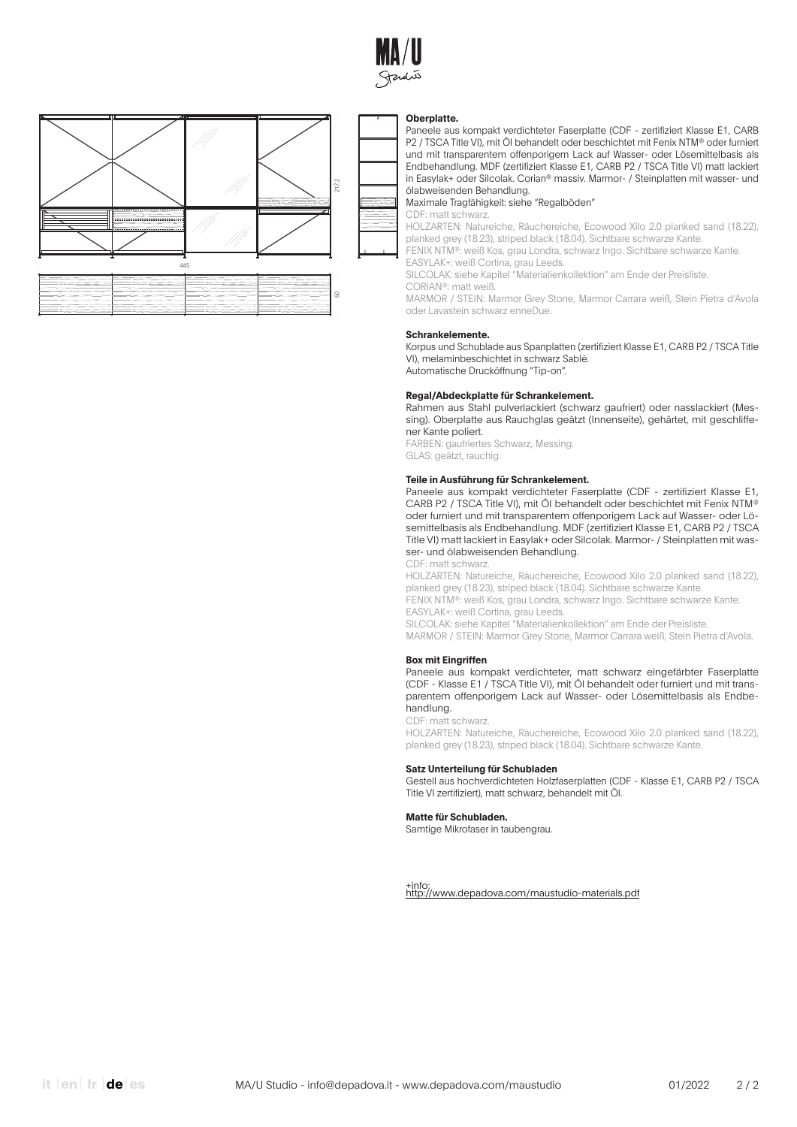



#### **Oberplatte.**

Paneele aus kompakt verdichteter Faserplatte (CDF - zertifiziert Klasse E1, CARB P2 / TSCA Title VI), mit Öl behandelt oder beschichtet mit Fenix NTM® oder furniert und mit transparentem offenporigem Lack auf Wasser- oder Lösemittelbasis als Endbehandlung. MDF (zertifiziert Klasse E1, CARB P2 / TSCA Title VI) matt lackiert in Easylak+ oder Silcolak. Corian® massiv. Marmor- / Steinplatten mit wasser- und ölabweisenden Behandlung.

Maximale Tragfähigkeit: siehe "Regalböden"

CDF: matt schwarz.

HOLZARTEN: Natureiche, Räuchereiche, Ecowood Xilo 2.0 planked sand (18.22), planked grey (18.23), striped black (18.04). Sichtbare schwarze Kante.

FENIX NTM®: weiß Kos, grau Londra, schwarz Ingo. Sichtbare schwarze Kante. EASYLAK+: weiß Cortina, grau Leeds.

SILCOLAK: siehe Kapitel "Materialienkollektion" am Ende der Preisliste.

CORIAN®: matt weiß.

MARMOR / STEIN: Marmor Grey Stone, Marmor Carrara weiß, Stein Pietra d'Avola oder Lavastein schwarz enneDue.

#### **Schrankelemente.**

Korpus und Schublade aus Spanplatten (zertifiziert Klasse E1, CARB P2 / TSCA Title VI), melaminbeschichtet in schwarz Sablè. Automatische Drucköffnung "Tip-on".

# **Regal/Abdeckplatte für Schrankelement.**

Rahmen aus Stahl pulverlackiert (schwarz gaufriert) oder nasslackiert (Messing). Oberplatte aus Rauchglas geätzt (Innenseite), gehärtet, mit geschliffener Kante poliert.

FARBEN: gaufriertes Schwarz, Messing. GLAS: geätzt, rauchig.

#### **Teile in Ausführung für Schrankelement.**

Paneele aus kompakt verdichteter Faserplatte (CDF - zertifiziert Klasse E1, CARB P2 / TSCA Title VI), mit Öl behandelt oder beschichtet mit Fenix NTM® oder furniert und mit transparentem offenporigem Lack auf Wasser- oder Lösemittelbasis als Endbehandlung. MDF (zertifiziert Klasse E1, CARB P2 / TSCA Title VI) matt lackiert in Easylak+ oder Silcolak. Marmor- / Steinplatten mit wasser- und ölabweisenden Behandlung.

CDF: matt schwarz.

HOLZARTEN: Natureiche, Räuchereiche, Ecowood Xilo 2.0 planked sand (18.22), planked grey (18.23), striped black (18.04). Sichtbare schwarze Kante. FENIX NTM®: weiß Kos, grau Londra, schwarz Ingo. Sichtbare schwarze Kante.

EASYLAK+: weiß Cortina, grau Leeds.

SILCOLAK: siehe Kapitel "Materialienkollektion" am Ende der Preisliste.

MARMOR / STEIN: Marmor Grey Stone, Marmor Carrara weiß, Stein Pietra d'Avola.

#### **Box mit Eingriffen**

Paneele aus kompakt verdichteter, matt schwarz eingefärbter Faserplatte (CDF - Klasse E1 / TSCA Title VI), mit Öl behandelt oder furniert und mit transparentem offenporigem Lack auf Wasser- oder Lösemittelbasis als Endbehandlung.

#### CDF: matt schwarz.

HOLZARTEN: Natureiche, Räuchereiche, Ecowood Xilo 2.0 planked sand (18.22), planked grey (18.23), striped black (18.04). Sichtbare schwarze Kante.

### **Satz Unterteilung für Schubladen**

Gestell aus hochverdichteten Holzfaserplatten (CDF - Klasse E1, CARB P2 / TSCA Title VI zertifiziert), matt schwarz, behandelt mit Öl.

#### **Matte für Schubladen.**

Samtige Mikrofaser in taubengrau.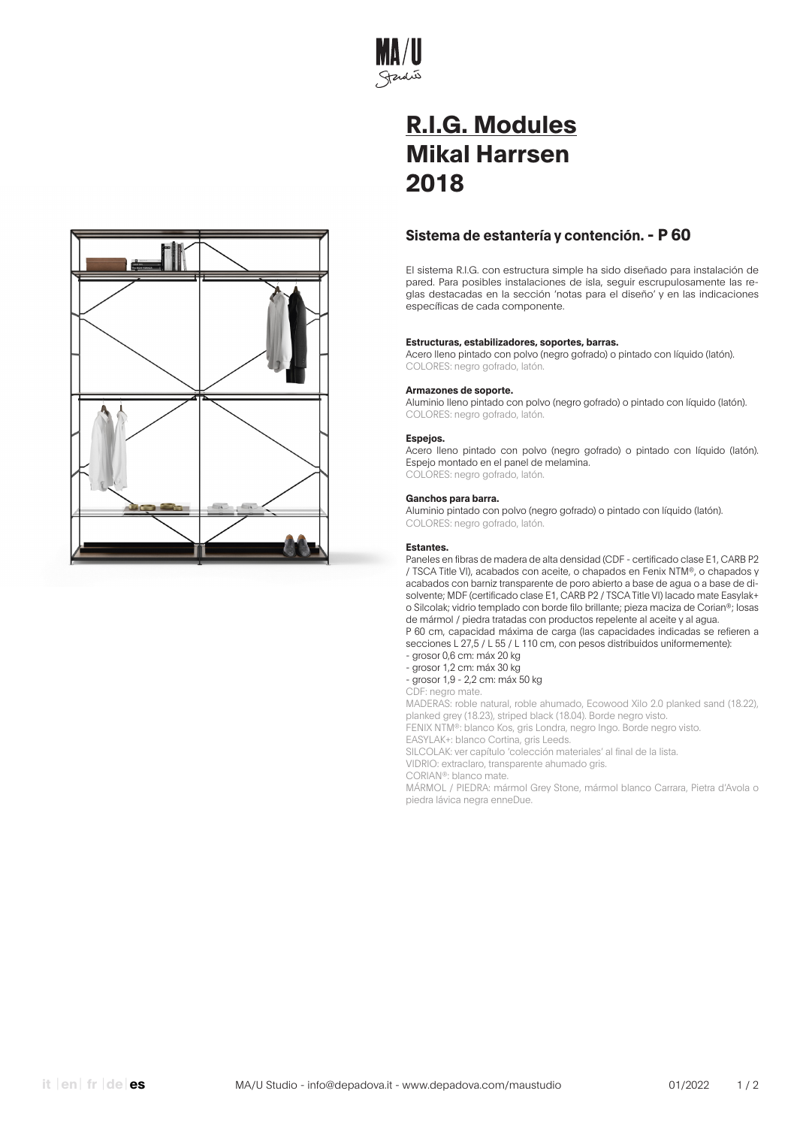

# **Sistema de estantería y contención. - P 60**

El sistema R.I.G. con estructura simple ha sido diseñado para instalación de pared. Para posibles instalaciones de isla, seguir escrupulosamente las reglas destacadas en la sección 'notas para el diseño' y en las indicaciones específicas de cada componente.

# **Estructuras, estabilizadores, soportes, barras.**

Acero lleno pintado con polvo (negro gofrado) o pintado con líquido (latón). COLORES: negro gofrado, latón.

### **Armazones de soporte.**

Aluminio lleno pintado con polvo (negro gofrado) o pintado con líquido (latón). COLORES: negro gofrado, latón.

### **Espejos.**

Acero lleno pintado con polvo (negro gofrado) o pintado con líquido (latón). Espejo montado en el panel de melamina. COLORES: negro gofrado, latón.

### **Ganchos para barra.**

Aluminio pintado con polvo (negro gofrado) o pintado con líquido (latón). COLORES: negro gofrado, latón.

# **Estantes.**

Paneles en fibras de madera de alta densidad (CDF - certificado clase E1, CARB P2 / TSCA Title VI), acabados con aceite, o chapados en Fenix NTM®, o chapados y acabados con barniz transparente de poro abierto a base de agua o a base de disolvente; MDF (certificado clase E1, CARB P2 / TSCA Title VI) lacado mate Easylak+ o Silcolak; vidrio templado con borde filo brillante; pieza maciza de Corian®; losas de mármol / piedra tratadas con productos repelente al aceite y al agua. P 60 cm, capacidad máxima de carga (las capacidades indicadas se refieren a secciones L 27,5 / L 55 / L 110 cm, con pesos distribuidos uniformemente):

- grosor 0,6 cm: máx 20 kg

- grosor 1,2 cm: máx 30 kg - grosor 1,9 - 2,2 cm: máx 50 kg

CDF: negro mate.

MADERAS: roble natural, roble ahumado, Ecowood Xilo 2.0 planked sand (18.22), planked grey (18.23), striped black (18.04). Borde negro visto.

FENIX NTM®: blanco Kos, gris Londra, negro Ingo. Borde negro visto.

EASYLAK+: blanco Cortina, gris Leeds.

SILCOLAK: ver capítulo 'colección materiales' al final de la lista.

VIDRIO: extraclaro, transparente ahumado gris.

CORIAN®: blanco mate.

MÁRMOL / PIEDRA: mármol Grey Stone, mármol blanco Carrara, Pietra d'Avola o piedra lávica negra enneDue.